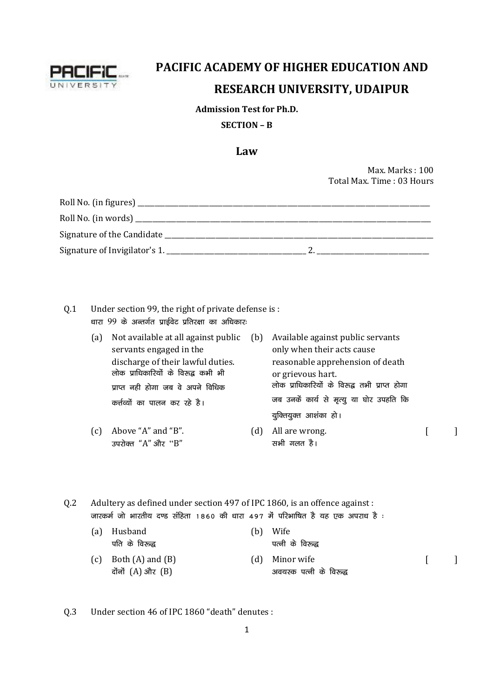

# **PACIFIC ACADEMY OF HIGHER EDUCATION AND RESEARCH UNIVERSITY, UDAIPUR**

#### **Admission Test for Ph.D.**

### **SECTION – B**

## **Law**

Max. Marks : 100 Total Max. Time : 03 Hours

| Roll No. (in figures) _       |  |
|-------------------------------|--|
| Roll No. (in words) ______    |  |
| Signature of the Candidate    |  |
| Signature of Invigilator's 1. |  |

- Q.1 Under section 99, the right of private defense is : **/kkjk** 99 **ds vUrx Zr izkb Zo sV izfrj{kk dk vf/kdkj%**
	- (a) Not available at all against public servants engaged in the discharge of their lawful duties. **yksd izkf/kdkfj;ksa ds fo:} dHkh Hkh** <u>प्राप्त नही होगा जब वे अपने विधिक</u> कर्त्तव्यों का पालन कर रहे है। (b) Available against public servants only when their acts cause reasonable apprehension of death or grievous hart. लोक प्राधिकारियों के विरुद्ध तभी प्राप्त होगा जब उनकें कार्य से मृत्यू या घोर उपहति कि युक्तियुक्त आशंका हो।
	- (c) Above "A" and "B". **mijksDr** "A" **vkSj** "B" (d) All are wrong. **सभी** गलत है।  $\lceil$   $\lceil$

Q.2 Adultery as defined under section 497 of IPC 1860, is an offence against : .<br>**जारकर्म जो भारतीय दण्ड संहिता 1860 की** धारा 497 में परिभाषित है यह एक अपराध है :

|     | (a) Husband           | (b) Wife                |  |
|-----|-----------------------|-------------------------|--|
|     | पति के विरुद्ध        | पत्नी के विरुद्ध        |  |
| (c) | Both $(A)$ and $(B)$  | (d) Minor wife          |  |
|     | दोंनों $(A)$ और $(B)$ | अवयस्क पत्नी के विरुद्ध |  |

Q.3 Under section 46 of IPC 1860 "death" denutes :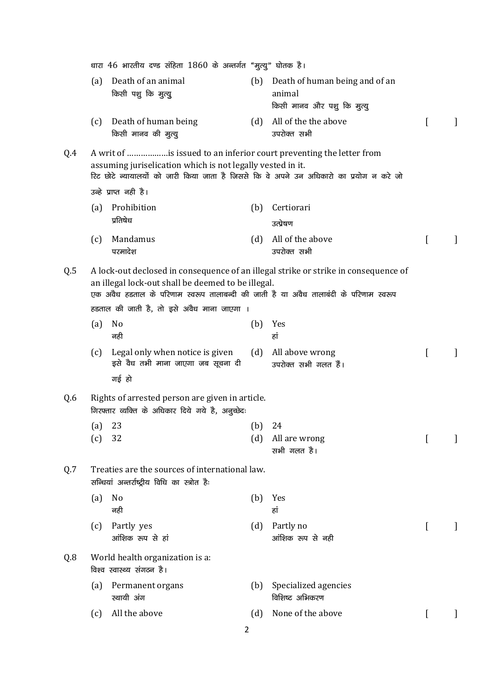|     |            | धारा 46 भारतीय दण्ड संहिता 1860 के अन्तर्गत "मुत्यु" घोतक है।                                                                                                                                                                |            |                                                                                     |   |   |
|-----|------------|------------------------------------------------------------------------------------------------------------------------------------------------------------------------------------------------------------------------------|------------|-------------------------------------------------------------------------------------|---|---|
|     | (a)        | Death of an animal<br>किसी पशु कि मुत्यु                                                                                                                                                                                     | (b)        | Death of human being and of an<br>animal<br>किसी मानव और पशु कि मुत्यु              |   |   |
|     | (c)        | Death of human being<br>किसी मानव की मुत्यु                                                                                                                                                                                  | (d)        | All of the the above<br>उपरोक्त सभी                                                 | L | 1 |
| Q.4 |            | A writ of is issued to an inferior court preventing the letter from<br>assuming juriselication which is not legally vested in it.<br>रिट छोटे न्यायालयों को जारी किया जाता है जिससे कि वे अपने उन अधिकारो का प्रयोग न करे जो |            |                                                                                     |   |   |
|     |            | उन्हे प्राप्त नही है।                                                                                                                                                                                                        |            |                                                                                     |   |   |
|     | (a)        | Prohibition<br>प्रतिषेध                                                                                                                                                                                                      | (b)        | Certiorari<br>उत्प्रेषण                                                             |   |   |
|     | (c)        | Mandamus<br>परमादेश                                                                                                                                                                                                          | (d)        | All of the above<br>उपरोक्त सभी                                                     | ſ | 1 |
| Q.5 |            | an illegal lock-out shall be deemed to be illegal.<br>एक अवैध हडताल के परिणाम स्वरूप तालाबन्दी की जाती है या अवैध तालाबंदी के परिणाम स्वरूप                                                                                  |            | A lock-out declosed in consequence of an illegal strike or strike in consequence of |   |   |
|     |            | हडताल की जाती है, तो इसे अवैध माना जाएगा ।                                                                                                                                                                                   |            |                                                                                     |   |   |
|     | (a)        | No<br>नही                                                                                                                                                                                                                    | (b)        | Yes<br>हां                                                                          |   |   |
|     | (c)        | Legal only when notice is given<br>इसे वैध तभी माना जाएगा जब सूचना दी<br>गई हो                                                                                                                                               | (d)        | All above wrong<br>उपरोक्त सभी गलत हैं।                                             | L |   |
| Q.6 |            | Rights of arrested person are given in article.<br>गिरफ्तार व्यक्ति के अधिकार दिये गये है, अनुच्छेदः                                                                                                                         |            |                                                                                     |   |   |
|     | (a)<br>(c) | 23<br>32                                                                                                                                                                                                                     | (b)<br>(d) | 24<br>All are wrong<br>सभी गलत है।                                                  |   |   |
| Q.7 |            | Treaties are the sources of international law.<br>सन्धियां अन्तर्राष्ट्रीय विधि का स्त्रोत हैः                                                                                                                               |            |                                                                                     |   |   |
|     | (a)        | No<br>नही                                                                                                                                                                                                                    | (b)        | Yes<br>हां                                                                          |   |   |
|     | (c)        | Partly yes<br>आंशिक रूप से हां                                                                                                                                                                                               | (d)        | Partly no<br>आंशिक रूप से नही                                                       | t |   |
| Q.8 |            | World health organization is a:<br>विश्व स्वास्थ्य संगठन है।                                                                                                                                                                 |            |                                                                                     |   |   |
|     | (a)        | Permanent organs<br>स्थायी अंग                                                                                                                                                                                               | (b)        | Specialized agencies<br>विशिष्ट अभिकरण                                              |   |   |
|     | (c)        | All the above<br>$\overline{2}$                                                                                                                                                                                              | (d)        | None of the above                                                                   | L |   |
|     |            |                                                                                                                                                                                                                              |            |                                                                                     |   |   |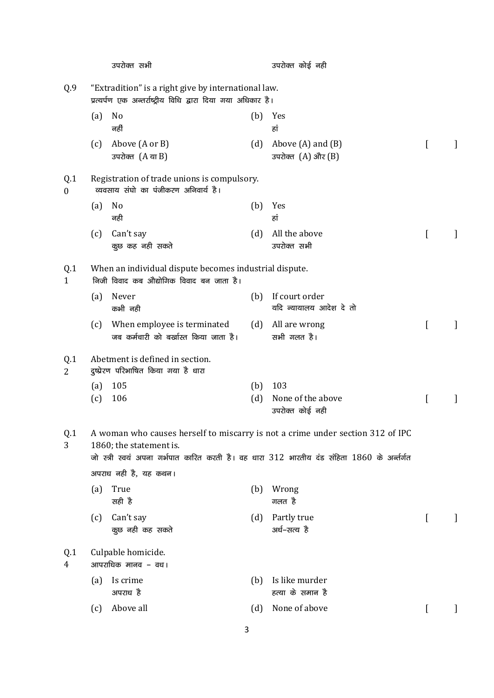|                                              |            | उपरोक्त सभी                                                                                                          |            | उपरोक्त कोई नही                                                                                                                                                                |          |         |
|----------------------------------------------|------------|----------------------------------------------------------------------------------------------------------------------|------------|--------------------------------------------------------------------------------------------------------------------------------------------------------------------------------|----------|---------|
| Q.9                                          |            | "Extradition" is a right give by international law.<br>प्रत्यर्पण एक अन्तर्राष्ट्रीय विधि द्वारा दिया गया अधिकार है। |            |                                                                                                                                                                                |          |         |
|                                              | (a)        | No<br>नहीं                                                                                                           | (b)        | Yes<br>हां                                                                                                                                                                     |          |         |
|                                              | (c)        | Above (A or B)<br>उपरोक्त $(A \text{ or } B)$                                                                        | (d)        | Above $(A)$ and $(B)$<br>उपरोक्त $(A)$ और $(B)$                                                                                                                                | L        |         |
| Q.1<br>$\bf{0}$                              |            | Registration of trade unions is compulsory.<br>व्यवसाय संघो का पंजीकरण अनिवार्य है।                                  |            |                                                                                                                                                                                |          |         |
|                                              | (a)        | No<br>नही                                                                                                            | (b)        | Yes<br>हां                                                                                                                                                                     |          |         |
|                                              | (c)        | Can't say<br>कुछ कह नही सकते                                                                                         | (d)        | All the above<br>उपरोक्त सभी                                                                                                                                                   | L        |         |
| Q.1<br>1                                     |            | When an individual dispute becomes industrial dispute.<br>निजी विवाद कब औद्योगिक विवाद बन जाता है।                   |            |                                                                                                                                                                                |          |         |
|                                              | (a)        | Never<br>कभी नही                                                                                                     |            | (b) If court order<br>यदि न्यायालय आदेश दे तो                                                                                                                                  |          |         |
|                                              | (c)        | When employee is terminated<br>जब कर्मचारी को बर्खास्त किया जाता है।                                                 |            | (d) All are wrong<br>सभी गलत है।                                                                                                                                               | ſ        | 1       |
| Q.1<br>2                                     |            | Abetment is defined in section.<br>दुष्प्रेरण परिभाषित किया गया है धारा                                              |            |                                                                                                                                                                                |          |         |
|                                              | (a)<br>(c) | 105<br>106                                                                                                           | (b)<br>(d) | 103<br>None of the above<br>उपरोक्त कोई नही                                                                                                                                    | L        | $\perp$ |
| $\ensuremath{\text{Q}}\xspace\text{-}1$<br>3 |            | 1860; the statement is.                                                                                              |            | A woman who causes herself to miscarry is not a crime under section 312 of IPC<br>जो स्त्री स्वयं अपना गर्भपात कारित करती है। वह धारा 312 भारतीय दंड संहिता 1860 के अर्न्तर्गत |          |         |
|                                              |            | अपराध नही है, यह कथन।                                                                                                |            |                                                                                                                                                                                |          |         |
|                                              | (a)        | True<br>सही है                                                                                                       | (b)        | Wrong<br>गलत है                                                                                                                                                                |          |         |
|                                              | (c)        | Can't say<br>कुछ नही कह सकते                                                                                         | (d)        | Partly true<br>अर्ध-सत्य है                                                                                                                                                    | L        | $\perp$ |
| Q.1<br>4                                     |            | Culpable homicide.<br>आपराधिक मानव – वध।                                                                             |            |                                                                                                                                                                                |          |         |
|                                              | (a)        | Is crime<br>अपराध है                                                                                                 | (b)        | Is like murder<br>हत्या के समान है                                                                                                                                             |          |         |
|                                              | (c)        | Above all                                                                                                            | (d)        | None of above                                                                                                                                                                  | $\Gamma$ | $\perp$ |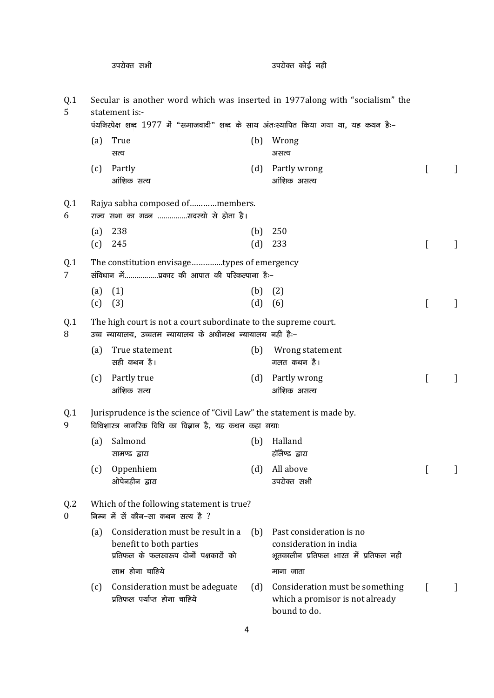|                                    |     | उपरोक्त सभी                                                                                                                     |     | उपरोक्त कोई नही                                                                             |   |   |
|------------------------------------|-----|---------------------------------------------------------------------------------------------------------------------------------|-----|---------------------------------------------------------------------------------------------|---|---|
| Q.1<br>5                           |     | statement is:-<br>पंथनिरपेक्ष शब्द 1977 में "समाजवादी" शब्द के साथ अंतःस्थापित किया गया था, यह कथन हैः-                         |     | Secular is another word which was inserted in 1977along with "socialism" the                |   |   |
|                                    | (a) | True                                                                                                                            | (b) | Wrong                                                                                       |   |   |
|                                    |     | सत्य                                                                                                                            |     | असत्य                                                                                       |   |   |
|                                    | (c) | Partly<br>आंशिक सत्य                                                                                                            | (d) | Partly wrong<br>आंशिक असत्य                                                                 | L | 1 |
| Q.1<br>6                           |     | Rajya sabha composed ofmembers.<br>राज्य सभा का गठन सदस्यो से होता है।                                                          |     |                                                                                             |   |   |
|                                    | (a) | 238                                                                                                                             | (b) | 250                                                                                         |   |   |
|                                    | (c) | 245                                                                                                                             | (d) | 233                                                                                         |   |   |
| Q.1<br>7                           |     | The constitution envisagetypes of emergency<br>संविधान मेंप्रकार की आपात की परिकल्पाना है:-                                     |     |                                                                                             |   |   |
|                                    | (a) | (1)                                                                                                                             | (b) | (2)                                                                                         |   |   |
|                                    | (c) | (3)                                                                                                                             | (d) | (6)                                                                                         | L |   |
| Q.1<br>8                           |     | The high court is not a court subordinate to the supreme court.<br>उच्च न्यायालय, उच्चतम न्यायालय के अधीनस्थ न्यायालय नही है:-  |     |                                                                                             |   |   |
|                                    | (a) | True statement<br>सही कथन है।                                                                                                   | (b) | Wrong statement<br>गलत कथन है।                                                              |   |   |
|                                    | (c) | Partly true<br>आंशिक सत्य                                                                                                       | (d) | Partly wrong<br>आंशिक असत्य                                                                 | [ |   |
| Q.1<br>9                           |     | Jurisprudence is the science of "Civil Law" the statement is made by.<br>विधिशास्त्र नागरिक विधि का विज्ञान है, यह कथन कहा गयाः |     |                                                                                             |   |   |
|                                    | (a) | Salmond<br>सामण्ड द्वारा                                                                                                        | (b) | Halland<br>हॉलेण्ड द्वारा                                                                   |   |   |
|                                    | (c) | Oppenhiem<br>ओपेनहीन द्वारा                                                                                                     | (d) | All above<br>उपरोक्त सभी                                                                    | L |   |
| Q <sub>2</sub><br>$\boldsymbol{0}$ |     | Which of the following statement is true?<br>निम्न में से कौन-सा कथन सत्य है ?                                                  |     |                                                                                             |   |   |
|                                    | (a) | Consideration must be result in a<br>benefit to both parties<br>प्रतिफल के फलस्वरूप दोनों पक्षकारों को                          | (b) | Past consideration is no<br>consideration in india<br>भूतकालीन प्रतिफल भारत में प्रतिफल नही |   |   |
|                                    |     | लाभ होना चाहिये                                                                                                                 |     | माना जाता                                                                                   |   |   |
|                                    | (c) | Consideration must be adeguate<br>प्रतिफल पर्याप्त होना चाहिये                                                                  | (d) | Consideration must be something<br>which a promisor is not already<br>bound to do.          |   |   |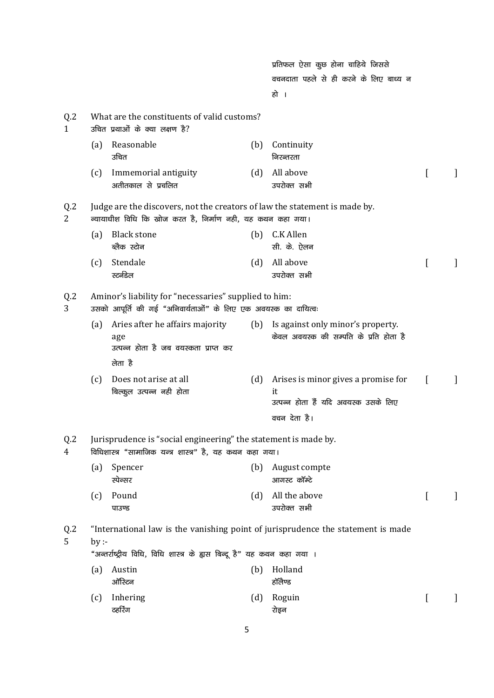|                     |     |                                                                                                                                          |     | प्रतिफल ऐसा कुछ होना चाहिये जिससे                                                                 |                |   |
|---------------------|-----|------------------------------------------------------------------------------------------------------------------------------------------|-----|---------------------------------------------------------------------------------------------------|----------------|---|
|                     |     |                                                                                                                                          |     | वचनदाता पहले से ही करने के लिए बाध्य न                                                            |                |   |
|                     |     |                                                                                                                                          |     | हो ।                                                                                              |                |   |
| Q.2<br>$\mathbf{1}$ |     | What are the constituents of valid customs?<br>उचित प्रथाओं के क्या लक्षण है?                                                            |     |                                                                                                   |                |   |
|                     | (a) | Reasonable<br>उचित                                                                                                                       | (b) | Continuity<br>निरन्तरता                                                                           |                |   |
|                     | (c) | Immemorial antiguity<br>अतीतकाल से प्रचलित                                                                                               | (d) | All above<br>उपरोक्त सभी                                                                          | $\overline{a}$ |   |
| Q <sub>2</sub><br>2 |     | Judge are the discovers, not the creators of law the statement is made by.<br>न्यायाधीश विधि कि खोज करत है, निर्माण नही, यह कथन कहा गया। |     |                                                                                                   |                |   |
|                     | (a) | <b>Black stone</b><br>ब्लैक स्टोन                                                                                                        | (b) | C.K Allen<br>सी. के. ऐलन                                                                          |                |   |
|                     | (c) | Stendale<br>स्टर्नडेल                                                                                                                    | (d) | All above<br>उपरोक्त सभी                                                                          | I              |   |
| Q.2<br>3            |     | Aminor's liability for "necessaries" supplied to him:<br>उसको आपूर्ति की गई "अनिवार्यताओं" के लिए एक अवयस्क का दायित्वः                  |     |                                                                                                   |                |   |
|                     | (a) | Aries after he affairs majority<br>age<br>उत्पन्न होता है जब वयस्कता प्राप्त कर                                                          |     | (b) Is against only minor's property.<br>केवल अवयस्क की सम्पति के प्रति होता है                   |                |   |
|                     | (c) | लेता है<br>Does not arise at all<br>बिल्कुल उत्पन्न नही होता                                                                             | (d) | Arises is minor gives a promise for<br>it<br>उत्पन्न होता हैं यदि अवयस्क उसके लिए<br>वचन देता है। | $\Gamma$       | 1 |
| Q <sub>2</sub><br>4 |     | Jurisprudence is "social engineering" the statement is made by.<br>विधिशास्त्र "सामाजिक यन्त्र शास्त्र" है, यह कथन कहा गया।              |     |                                                                                                   |                |   |
|                     | (a) | Spencer<br>स्पेन्सर                                                                                                                      | (b) | August compte<br>आगस्ट कॉम्टे                                                                     |                |   |
|                     | (c) | Pound<br>पाउण्ड                                                                                                                          | (d) | All the above<br>उपरोक्त सभी                                                                      | $\Gamma$       |   |
| Q <sub>2</sub><br>5 | by: | "अन्तर्राष्ट्रीय विधि, विधि शास्त्र के ह्यस बिन्दू है" यह कथन कहा गया ।                                                                  |     | "International law is the vanishing point of jurisprudence the statement is made                  |                |   |
|                     | (a) | Austin<br>ऑस्टिन                                                                                                                         | (b) | Holland<br>हॉलैण्ड                                                                                |                |   |
|                     | (c) | Inhering<br>ठहरिंग                                                                                                                       | (d) | Roguin<br>रोइन                                                                                    | $\overline{a}$ |   |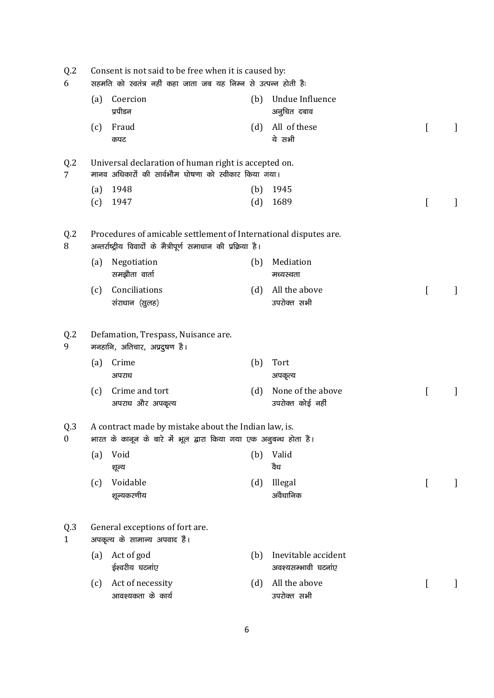| Q <sub>2</sub><br>6     | Consent is not said to be free when it is caused by:<br>सहमति को स्वतंत्र नहीं कहा जाता जब यह निम्न से उत्पन्न होती है: |                                                                                                                                    |            |                                            |   |   |  |  |  |
|-------------------------|-------------------------------------------------------------------------------------------------------------------------|------------------------------------------------------------------------------------------------------------------------------------|------------|--------------------------------------------|---|---|--|--|--|
|                         | (a)                                                                                                                     | Coercion<br>प्रपीडन                                                                                                                | (b)        | Undue Influence<br>अनुचित दबाव             |   |   |  |  |  |
|                         | (c)                                                                                                                     | Fraud<br>कपट                                                                                                                       | (d)        | All of these<br>ये सभी                     | L | J |  |  |  |
| Q <sub>2</sub><br>7     |                                                                                                                         | Universal declaration of human right is accepted on.<br>मानव अधिकारों की सार्वभौम घोषणा को स्वीकार किया गया।                       |            |                                            |   |   |  |  |  |
|                         | (a)<br>(c)                                                                                                              | 1948<br>1947                                                                                                                       | (b)<br>(d) | 1945<br>1689                               | L |   |  |  |  |
| Q <sub>2</sub><br>8     |                                                                                                                         | Procedures of amicable settlement of International disputes are.<br>अन्तर्राष्ट्रीय विवादों के मैत्रीपूर्ण समाधान की प्रक्रिया है। |            |                                            |   |   |  |  |  |
|                         | (a)                                                                                                                     | Negotiation<br>समझौता वार्ता                                                                                                       | (b)        | Mediation<br>मध्यस्थता                     |   |   |  |  |  |
|                         | (c)                                                                                                                     | Conciliations<br>संराधान (सुलह)                                                                                                    | (d)        | All the above<br>उपरोक्त सभी               |   |   |  |  |  |
| Q <sub>2</sub><br>9     |                                                                                                                         | Defamation, Trespass, Nuisance are.<br>मनहानि, अतिचार, अप्रदुषण है।                                                                |            |                                            |   |   |  |  |  |
|                         | (a)                                                                                                                     | Crime<br>अपराध                                                                                                                     | (b)        | Tort<br>अपकृत्य                            |   |   |  |  |  |
|                         | (c)                                                                                                                     | Crime and tort<br>अपराध और अपकृत्य                                                                                                 | (d)        | None of the above<br>उपरोक्त कोई नहीं      | ſ |   |  |  |  |
| Q.3<br>$\boldsymbol{0}$ |                                                                                                                         | A contract made by mistake about the Indian law, is.<br>भारत के कानून के बारे में भूल द्वारा किया गया एक अनुबन्ध होता है।          |            |                                            |   |   |  |  |  |
|                         | (a)                                                                                                                     | Void<br>शूल्य                                                                                                                      | (b)        | Valid<br>वैध                               |   |   |  |  |  |
|                         | (c)                                                                                                                     | Voidable<br>शून्यकरणीय                                                                                                             | (d)        | Illegal<br>अवैधानिक                        | t |   |  |  |  |
| Q.3<br>$\mathbf{1}$     |                                                                                                                         | General exceptions of fort are.<br>अपकृत्य के सामान्य अपवाद हैं।                                                                   |            |                                            |   |   |  |  |  |
|                         | (a)                                                                                                                     | Act of god<br>ईश्वरीय घटनांए                                                                                                       | (b)        | Inevitable accident<br>अवश्यसम्भावी घटनांए |   |   |  |  |  |
|                         | (c)                                                                                                                     | Act of necessity<br>आवश्यकता के कार्य                                                                                              | (d)        | All the above<br>उपरोक्त सभी               | L |   |  |  |  |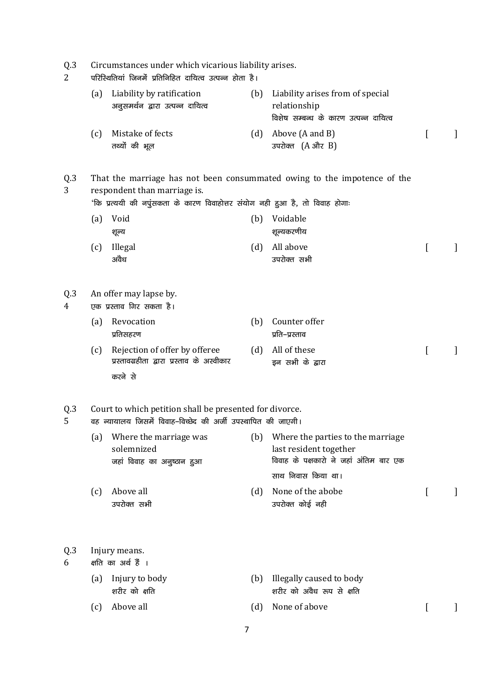| Q.3<br>$\overline{2}$ | Circumstances under which vicarious liability arises.<br>परिस्थितियां जिनमें प्रतिनिहित दायित्व उत्पन्न होता है। |                                                                                                                          |     |                                                                                                           |                |              |  |
|-----------------------|------------------------------------------------------------------------------------------------------------------|--------------------------------------------------------------------------------------------------------------------------|-----|-----------------------------------------------------------------------------------------------------------|----------------|--------------|--|
|                       | (a)                                                                                                              | Liability by ratification<br>अनुसमर्थन द्वारा उत्पन्न दायित्व                                                            | (b) | Liability arises from of special<br>relationship<br>विशेष सम्बन्ध के कारण उत्पन्न दायित्व                 |                |              |  |
|                       | (c)                                                                                                              | Mistake of fects<br>तथ्यों की भूल                                                                                        | (d) | Above (A and B)<br>उपरोक्त $(A \r{c} \r{c} R)$                                                            | ſ              | 1            |  |
| Q.3<br>3              |                                                                                                                  | respondent than marriage is.<br>'कि प्रत्ययी की नपुंसकता के कारण विवाहोत्तर संयोग नही हुआ है, तो विवाह होगाः             |     | That the marriage has not been consummated owing to the impotence of the                                  |                |              |  |
|                       | (a)                                                                                                              | Void                                                                                                                     | (b) | Voidable                                                                                                  |                |              |  |
|                       |                                                                                                                  | शूल्य                                                                                                                    |     | शून्यकरणीय                                                                                                |                |              |  |
|                       | (c)                                                                                                              | Illegal<br>अवैध                                                                                                          | (d) | All above<br>उपरोक्त सभी                                                                                  | $\Gamma$       |              |  |
| Q.3<br>4              |                                                                                                                  | An offer may lapse by.<br>एक प्रस्ताव गिर सकता है।                                                                       |     |                                                                                                           |                |              |  |
|                       | (a)                                                                                                              | Revocation<br>प्रतिसहरण                                                                                                  | (b) | Counter offer<br>प्रति–प्रस्ताव                                                                           |                |              |  |
|                       | (c)                                                                                                              | Rejection of offer by offeree<br>प्रस्तावग्रहीता द्वारा प्रस्ताव के अस्वीकार<br>करने से                                  | (d) | All of these<br>इन सभी के द्वारा                                                                          | $\overline{L}$ | $\mathbf{I}$ |  |
| Q.3<br>5              |                                                                                                                  | Court to which petition shall be presented for divorce.<br>वह न्यायालय जिसमें विवाह-विच्छेद की अर्जी उपस्थापित की जाएगी। |     |                                                                                                           |                |              |  |
|                       | (a)                                                                                                              | Where the marriage was<br>solemnized<br>जहां विवाह का अनुष्ठान हुआ                                                       |     | (b) Where the parties to the marriage<br>last resident together<br>विवाह के पक्षकारो ने जहां अंतिम बार एक |                |              |  |
|                       |                                                                                                                  |                                                                                                                          |     | साथ निवास किया था।                                                                                        |                |              |  |
|                       | (c)                                                                                                              | Above all<br>उपरोक्त सभी                                                                                                 | (d) | None of the abobe<br>उपरोक्त कोई नही                                                                      | $\mathsf{L}$   |              |  |
| Q.3<br>6              |                                                                                                                  | Injury means.<br>क्षति का अर्थ हैं ।                                                                                     |     |                                                                                                           |                |              |  |
|                       | (a)                                                                                                              | Injury to body<br>शरीर को क्षति                                                                                          | (b) | Illegally caused to body<br>शरीर को अवैध रूप से क्षति                                                     |                |              |  |
|                       | (c)                                                                                                              | Above all                                                                                                                | (d) | None of above                                                                                             | L              |              |  |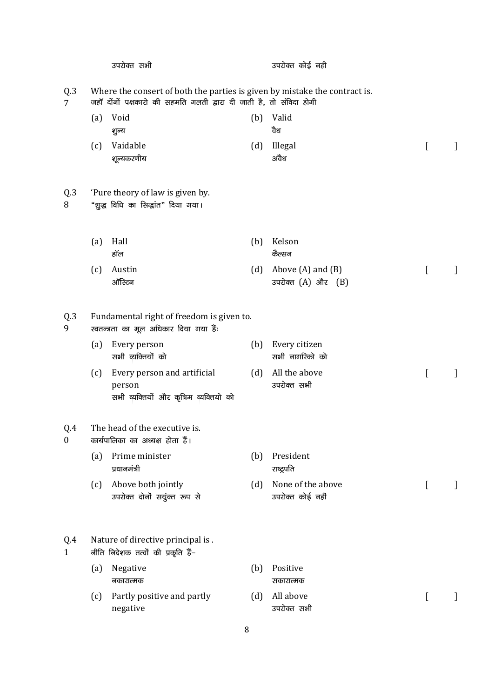|                         |     | उपरोक्त सभी                                                                                                                                       |     | उपरोक्त कोई नही                                     |              |              |
|-------------------------|-----|---------------------------------------------------------------------------------------------------------------------------------------------------|-----|-----------------------------------------------------|--------------|--------------|
| Q.3<br>$7^{\circ}$      |     | Where the consert of both the parties is given by mistake the contract is.<br>जहॉ दोंनों पक्षकारो की सहमति गलती द्वारा दी जाती है, तो संविदा होगी |     |                                                     |              |              |
|                         | (a) | Void<br>शुल्य                                                                                                                                     | (b) | Valid<br>वैध                                        |              |              |
|                         | (c) | Vaidable<br>शून्यकरणीय                                                                                                                            | (d) | Illegal<br>अवैध                                     | $\Gamma$     | 1            |
| Q.3<br>8                |     | 'Pure theory of law is given by.<br>"शुद्ध विधि का सिद्धांत" दिया गया।                                                                            |     |                                                     |              |              |
|                         | (a) | Hall<br>हॉल                                                                                                                                       | (b) | Kelson<br>कैल्सन                                    |              |              |
|                         | (c) | Austin<br>ऑस्टिन                                                                                                                                  |     | (d) Above $(A)$ and $(B)$<br>उपरोक्त $(A)$ और $(B)$ | <sub>[</sub> | 1            |
| Q.3<br>9                |     | Fundamental right of freedom is given to.<br>स्वतन्त्रता का मूल अधिकार दिया गया हैं:                                                              |     |                                                     |              |              |
|                         | (a) | Every person<br>सभी व्यक्तियों को                                                                                                                 | (b) | Every citizen<br>सभी नागरिको को                     |              |              |
|                         | (c) | Every person and artificial<br>person<br>सभी व्यक्तियों और कृत्रिम व्यक्तियो को                                                                   | (d) | All the above<br>उपरोक्त सभी                        | L            | 1            |
| Q.4<br>$\boldsymbol{0}$ |     | The head of the executive is.<br>कार्यपालिका का अध्यक्ष होता हैं।                                                                                 |     |                                                     |              |              |
|                         | (a) | Prime minister<br>प्रधानमंत्री                                                                                                                    | (b) | President<br>राष्ट्रपति                             |              |              |
|                         | (c) | Above both jointly<br>उपरोक्त दोनों सयुंक्त रूप से                                                                                                | (d) | None of the above<br>उपरोक्त कोई नहीं               | $\Gamma$     | $\mathbf{I}$ |
| Q.4<br>$\mathbf{1}$     |     | Nature of directive principal is.<br>नीति निदेशक तत्वों की प्रकृति हैं–                                                                           |     |                                                     |              |              |
|                         | (a) | Negative<br>नकारात्मक                                                                                                                             | (b) | Positive<br>सकारात्मक                               |              |              |
|                         | (c) | Partly positive and partly<br>negative                                                                                                            | (d) | All above<br>उपरोक्त सभी                            | L            | $\perp$      |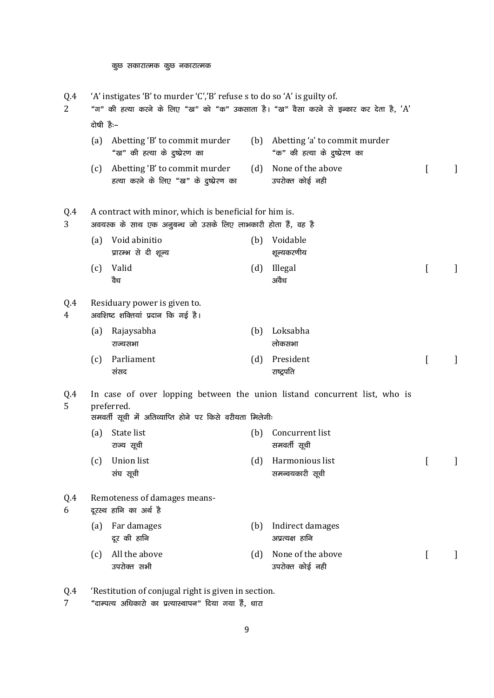| Q.4<br>2 | 'A' instigates 'B' to murder 'C','B' refuse s to do so 'A' is guilty of.<br>"ग" की हत्या करने के लिए "ख" को "क" उकसाता है। "ख" वैसा करने से इन्कार कर देता है, 'A' |                                                                                                                        |     |                                                                           |                  |              |  |  |  |  |
|----------|--------------------------------------------------------------------------------------------------------------------------------------------------------------------|------------------------------------------------------------------------------------------------------------------------|-----|---------------------------------------------------------------------------|------------------|--------------|--|--|--|--|
|          |                                                                                                                                                                    | दोषी हैः-                                                                                                              |     |                                                                           |                  |              |  |  |  |  |
|          | (a)                                                                                                                                                                | Abetting 'B' to commit murder<br>"ख" की हत्या के दुष्प्रेरण का                                                         |     | (b) Abetting 'a' to commit murder<br>"क" की हत्या के दुष्प्रेरण का        |                  |              |  |  |  |  |
|          | (c)                                                                                                                                                                | Abetting 'B' to commit murder<br>हत्या करने के लिए "ख" के दुष्प्रेरण का                                                | (d) | None of the above<br>उपरोक्त कोई नही                                      | $\Gamma$         | 1            |  |  |  |  |
| Q.4<br>3 |                                                                                                                                                                    | A contract with minor, which is beneficial for him is.<br>अवयस्क के साथ एक अनुबन्ध जो उसके लिए लाभकारी होता हैं, वह है |     |                                                                           |                  |              |  |  |  |  |
|          | (a)                                                                                                                                                                | Void abinitio<br>प्रारम्भ से दी शूल्य                                                                                  | (b) | Voidable<br>शून्यकरणीय                                                    |                  |              |  |  |  |  |
|          | (c)                                                                                                                                                                | Valid<br>वैध                                                                                                           | (d) | Illegal<br>अवैध                                                           | $\left[ \right]$ |              |  |  |  |  |
| Q.4<br>4 |                                                                                                                                                                    | Residuary power is given to.<br>अवशिष्ट शक्तियां प्रदान कि गई है।                                                      |     |                                                                           |                  |              |  |  |  |  |
|          | (a)                                                                                                                                                                | Rajaysabha<br>राज्यसभा                                                                                                 | (b) | Loksabha<br>लोकसभा                                                        |                  |              |  |  |  |  |
|          | (c)                                                                                                                                                                | Parliament<br>संसद                                                                                                     | (d) | President<br>राष्ट्रपति                                                   | $\left[ \right]$ | 1            |  |  |  |  |
| Q.4<br>5 |                                                                                                                                                                    | preferred.<br>समवर्ती सूची में अतिव्याप्ति होने पर किसे वरीयता मिलेगीः                                                 |     | In case of over lopping between the union listand concurrent list, who is |                  |              |  |  |  |  |
|          | (a)                                                                                                                                                                | State list<br>राज्य सूची                                                                                               | (b) | Concurrent list<br>समवर्ती सूची                                           |                  |              |  |  |  |  |
|          |                                                                                                                                                                    | (c) Union list<br>संघ सूची                                                                                             |     | (d) Harmonious list<br>समन्वयकारी सूची                                    | $\mathbb{L}$     | $\mathbf{I}$ |  |  |  |  |
| Q.4<br>6 |                                                                                                                                                                    | Remoteness of damages means-<br>दूरस्थ हानि का अर्थ है                                                                 |     |                                                                           |                  |              |  |  |  |  |
|          | (a)                                                                                                                                                                | Far damages<br>दूर की हानि                                                                                             | (b) | Indirect damages<br>अप्रत्यक्ष हानि                                       |                  |              |  |  |  |  |
|          | (c)                                                                                                                                                                | All the above<br>उपरोक्त सभी                                                                                           | (d) | None of the above<br>उपरोक्त कोई नही                                      | $\left[ \right]$ | 1            |  |  |  |  |
| Q.4      |                                                                                                                                                                    | 'Restitution of conjugal right is given in section.                                                                    |     |                                                                           |                  |              |  |  |  |  |

7 <mark>"दाम्पत्य अधिकारो का प्रत्यास्थापन" दिया</mark> गया है, धारा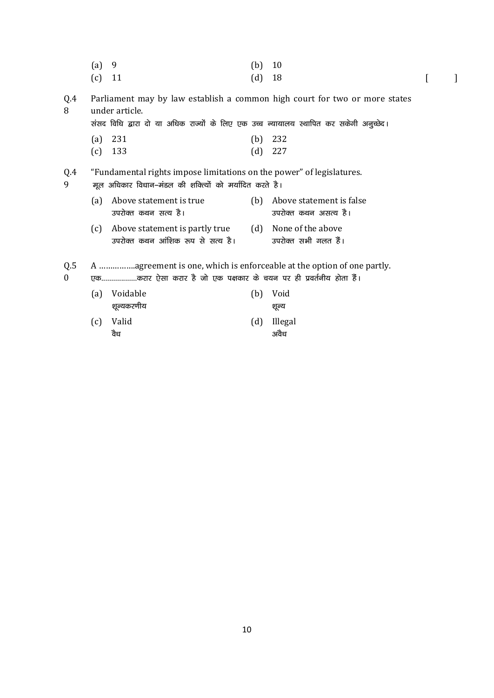- (a) 9 (b) 10 (c) 11  $(d)$  18  $[$  ]
- Q.4 8 Parliament may by law establish a common high court for two or more states under article.

संसद विधि द्वारा दो या अधिक राज्यों के लिए एक उच्च न्यायालय स्थापित कर सकेगी अनुच्छेद।

- (a) 231 (b) 232
- (c) 133 (d) 227

#### Q.4 "Fundamental rights impose limitations on the power" of legislatures.

9

- मूल अधिकार विधान-मंडल की शक्त्यों को मर्यादित करते है। (a) Above statement is true उपरोक्त कथन सत्य है। (b) Above statement is false उपरोक्त कथन असत्य है। (c) Above statement is partly true उपरोक्त कथन आंशिक रूप से सत्य है। (d) None of the above उपरोक्त सभी गलत हैं।
- Q.5 A …………….agreement is one, which is enforceable at the option of one partly.
- 0 एक...................करार ऐसा करार है जो एक पक्षकार के चयन पर ही प्रवर्तनीय होता हैं।

| (a) Voidable     | (b) Void            |
|------------------|---------------------|
| शून्यकरणीय       | शुल्य               |
| (c) Valid<br>वैध | (d) Illegal<br>अवैध |
|                  |                     |